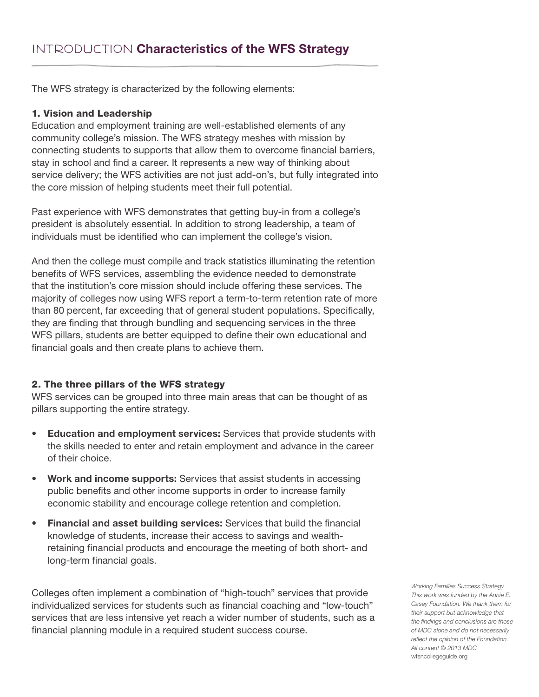The WFS strategy is characterized by the following elements:

#### 1. Vision and Leadership

Education and employment training are well-established elements of any community college's mission. The WFS strategy meshes with mission by connecting students to supports that allow them to overcome financial barriers, stay in school and find a career. It represents a new way of thinking about service delivery; the WFS activities are not just add-on's, but fully integrated into the core mission of helping students meet their full potential.

Past experience with WFS demonstrates that getting buy-in from a college's president is absolutely essential. In addition to strong leadership, a team of individuals must be identified who can implement the college's vision.

And then the college must compile and track statistics illuminating the retention benefits of WFS services, assembling the evidence needed to demonstrate that the institution's core mission should include offering these services. The majority of colleges now using WFS report a term-to-term retention rate of more than 80 percent, far exceeding that of general student populations. Specifically, they are finding that through bundling and sequencing services in the three WFS pillars, students are better equipped to define their own educational and financial goals and then create plans to achieve them.

### 2. The three pillars of the WFS strategy

WFS services can be grouped into three main areas that can be thought of as pillars supporting the entire strategy.

- **• Education and employment services:** Services that provide students with the skills needed to enter and retain employment and advance in the career of their choice.
- **• Work and income supports:** Services that assist students in accessing public benefits and other income supports in order to increase family economic stability and encourage college retention and completion.
- **• Financial and asset building services:** Services that build the financial knowledge of students, increase their access to savings and wealthretaining financial products and encourage the meeting of both short- and long-term financial goals.

Colleges often implement a combination of "high-touch" services that provide individualized services for students such as financial coaching and "low-touch" services that are less intensive yet reach a wider number of students, such as a financial planning module in a required student success course.

*Working Families Success Strategy This work was funded by the Annie E. Casey Foundation. We thank them for their support but acknowledge that the findings and conclusions are those of MDC alone and do not necessarily reflect the opinion of the Foundation. All content © 2013 MDC* wfsncollegeguide.org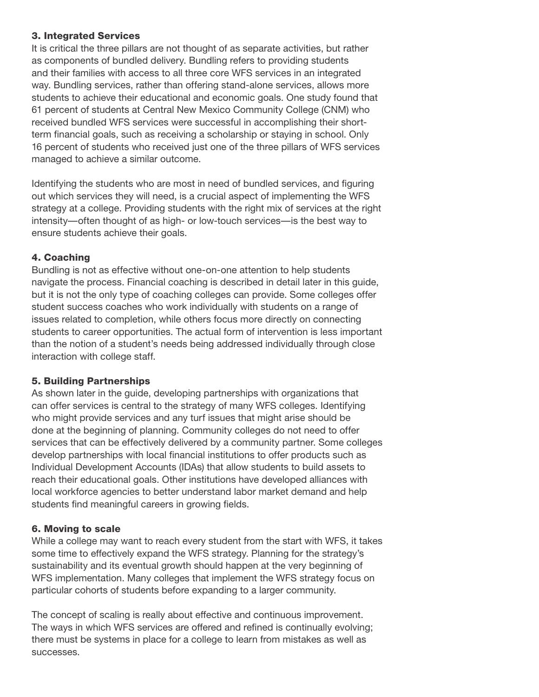## 3. Integrated Services

It is critical the three pillars are not thought of as separate activities, but rather as components of bundled delivery. Bundling refers to providing students and their families with access to all three core WFS services in an integrated way. Bundling services, rather than offering stand-alone services, allows more students to achieve their educational and economic goals. One study found that 61 percent of students at Central New Mexico Community College (CNM) who received bundled WFS services were successful in accomplishing their shortterm financial goals, such as receiving a scholarship or staying in school. Only 16 percent of students who received just one of the three pillars of WFS services managed to achieve a similar outcome.

Identifying the students who are most in need of bundled services, and figuring out which services they will need, is a crucial aspect of implementing the WFS strategy at a college. Providing students with the right mix of services at the right intensity—often thought of as high- or low-touch services—is the best way to ensure students achieve their goals.

## 4. Coaching

Bundling is not as effective without one-on-one attention to help students navigate the process. Financial coaching is described in detail later in this guide, but it is not the only type of coaching colleges can provide. Some colleges offer student success coaches who work individually with students on a range of issues related to completion, while others focus more directly on connecting students to career opportunities. The actual form of intervention is less important than the notion of a student's needs being addressed individually through close interaction with college staff.

### 5. Building Partnerships

As shown later in the guide, developing partnerships with organizations that can offer services is central to the strategy of many WFS colleges. Identifying who might provide services and any turf issues that might arise should be done at the beginning of planning. Community colleges do not need to offer services that can be effectively delivered by a community partner. Some colleges develop partnerships with local financial institutions to offer products such as Individual Development Accounts (IDAs) that allow students to build assets to reach their educational goals. Other institutions have developed alliances with local workforce agencies to better understand labor market demand and help students find meaningful careers in growing fields.

## 6. Moving to scale

While a college may want to reach every student from the start with WFS, it takes some time to effectively expand the WFS strategy. Planning for the strategy's sustainability and its eventual growth should happen at the very beginning of WFS implementation. Many colleges that implement the WFS strategy focus on particular cohorts of students before expanding to a larger community.

The concept of scaling is really about effective and continuous improvement. The ways in which WFS services are offered and refined is continually evolving; there must be systems in place for a college to learn from mistakes as well as successes.